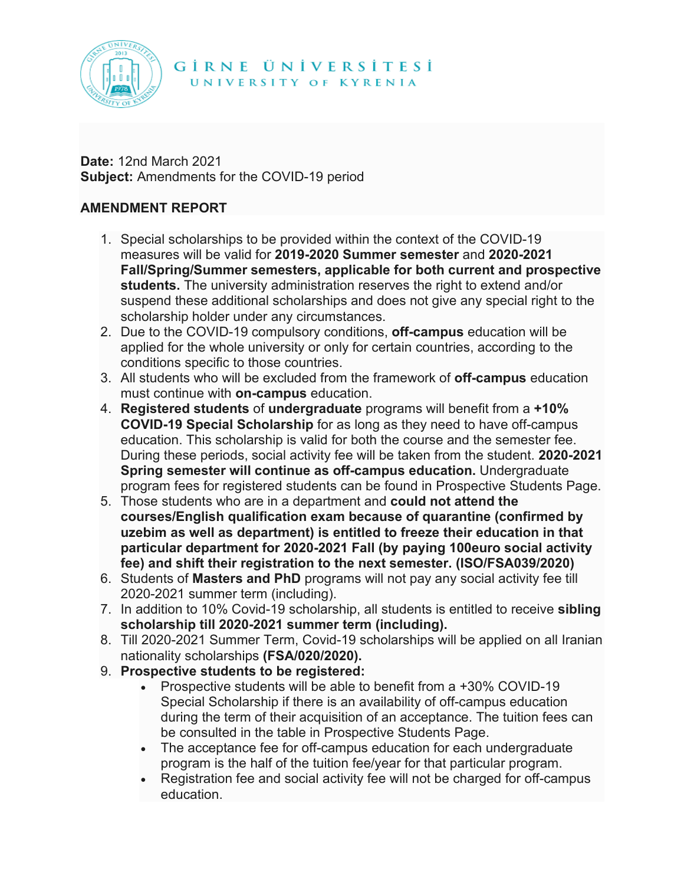

## GIRNE ÜNIVERSITESI

UNIVERSITY OF KYRENIA

**Date:** 12nd March 2021 **Subject:** Amendments for the COVID-19 period

## **AMENDMENT REPORT**

- 1. Special scholarships to be provided within the context of the COVID-19 measures will be valid for **2019-2020 Summer semester** and **2020-2021 Fall/Spring/Summer semesters, applicable for both current and prospective students.** The university administration reserves the right to extend and/or suspend these additional scholarships and does not give any special right to the scholarship holder under any circumstances.
- 2. Due to the COVID-19 compulsory conditions, **off-campus** education will be applied for the whole university or only for certain countries, according to the conditions specific to those countries.
- 3. All students who will be excluded from the framework of **off-campus** education must continue with **on-campus** education.
- 4. **Registered students** of **undergraduate** programs will benefit from a **+10% COVID-19 Special Scholarship** for as long as they need to have off-campus education. This scholarship is valid for both the course and the semester fee. During these periods, social activity fee will be taken from the student. **2020-2021 Spring semester will continue as off-campus education.** Undergraduate program fees for registered students can be found in Prospective Students Page.
- 5. Those students who are in a department and **could not attend the courses/English qualification exam because of quarantine (confirmed by uzebim as well as department) is entitled to freeze their education in that particular department for 2020-2021 Fall (by paying 100euro social activity fee) and shift their registration to the next semester. (ISO/FSA039/2020)**
- 6. Students of **Masters and PhD** programs will not pay any social activity fee till 2020-2021 summer term (including).
- 7. In addition to 10% Covid-19 scholarship, all students is entitled to receive **sibling scholarship till 2020-2021 summer term (including).**
- 8. Till 2020-2021 Summer Term, Covid-19 scholarships will be applied on all Iranian nationality scholarships **(FSA/020/2020).**
- 9. **Prospective students to be registered:**
	- Prospective students will be able to benefit from a +30% COVID-19 Special Scholarship if there is an availability of off-campus education during the term of their acquisition of an acceptance. The tuition fees can be consulted in the table in Prospective Students Page.
	- The acceptance fee for off-campus education for each undergraduate program is the half of the tuition fee/year for that particular program.
	- Registration fee and social activity fee will not be charged for off-campus education.